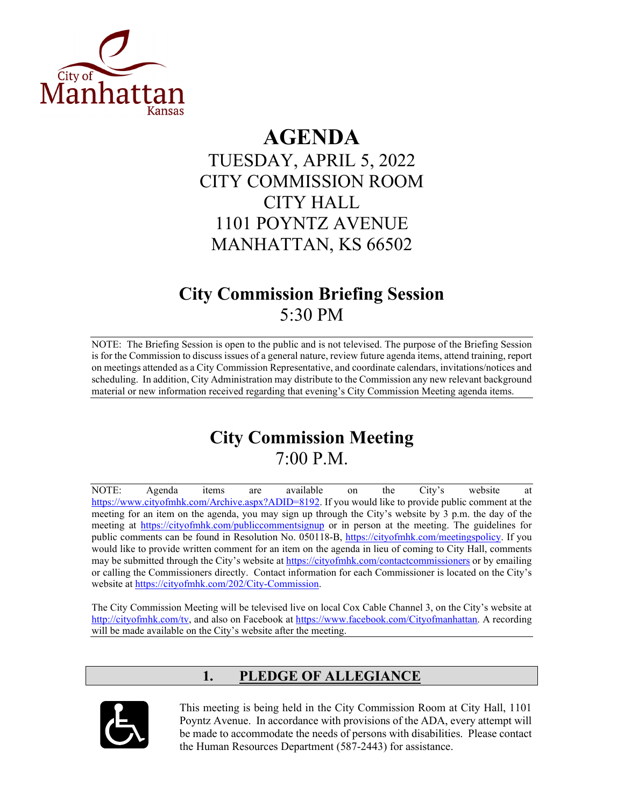

# **AGENDA**

TUESDAY, APRIL 5, 2022 CITY COMMISSION ROOM CITY HALL 1101 POYNTZ AVENUE MANHATTAN, KS 66502

# **City Commission Briefing Session** 5:30 PM

NOTE: The Briefing Session is open to the public and is not televised. The purpose of the Briefing Session is for the Commission to discuss issues of a general nature, review future agenda items, attend training, report on meetings attended as a City Commission Representative, and coordinate calendars, invitations/notices and scheduling. In addition, City Administration may distribute to the Commission any new relevant background material or new information received regarding that evening's City Commission Meeting agenda items.

# **City Commission Meeting** 7:00 P.M.

NOTE: Agenda items are available on the City's website at [https://www.cityofmhk.com/Archive.aspx?ADID=8192.](https://www.cityofmhk.com/Archive.aspx?ADID=8192) If you would like to provide public comment at the meeting for an item on the agenda, you may sign up through the City's website by 3 p.m. the day of the meeting at<https://cityofmhk.com/publiccommentsignup> or in person at the meeting. The guidelines for public comments can be found in Resolution No. 050118-B, [https://cityofmhk.com/meetingspolicy.](https://cityofmhk.com/meetingspolicy) If you would like to provide written comment for an item on the agenda in lieu of coming to City Hall, comments may be submitted through the City's website at<https://cityofmhk.com/contactcommissioners> or by emailing or calling the Commissioners directly. Contact information for each Commissioner is located on the City's website at [https://cityofmhk.com/202/City-Commission.](https://cityofmhk.com/202/City-Commission)

The City Commission Meeting will be televised live on local Cox Cable Channel 3, on the City's website at [http://cityofmhk.com/tv,](http://cityofmhk.com/tv) and also on Facebook at [https://www.facebook.com/Cityofmanhattan.](https://www.facebook.com/Cityofmanhattan) A recording will be made available on the City's website after the meeting.

# **1. PLEDGE OF ALLEGIANCE**



This meeting is being held in the City Commission Room at City Hall, 1101 Poyntz Avenue. In accordance with provisions of the ADA, every attempt will be made to accommodate the needs of persons with disabilities. Please contact the Human Resources Department (587-2443) for assistance.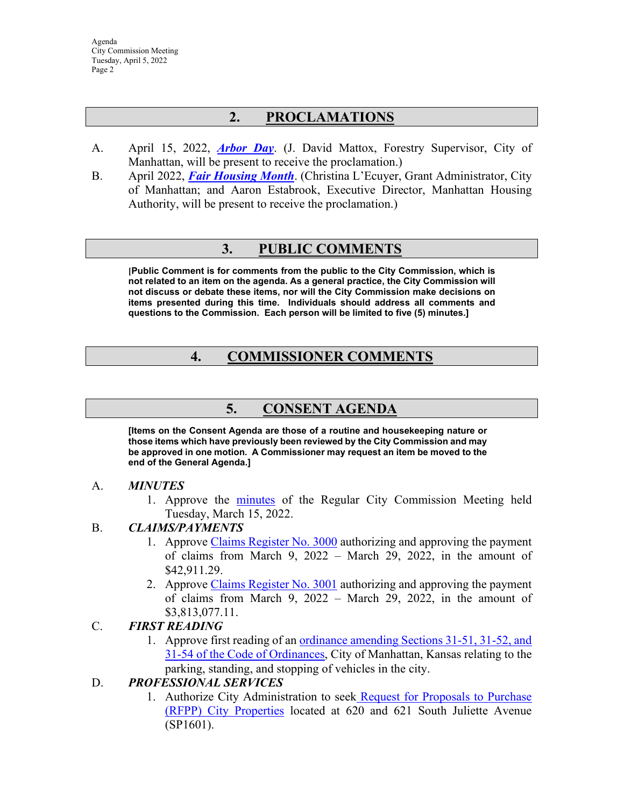# **2. PROCLAMATIONS**

- A. April 15, 2022, *[Arbor](https://manhattanks.sharepoint.com/:b:/s/CommissionPacket/ETnH0naofdRPnUSBR8sSt84Bi7B_sH1Dx93f8a1R8F_XmA?e=phvfpv) Day*. (J. David Mattox, Forestry Supervisor, City of Manhattan, will be present to receive the proclamation.)
- B. April 2022, *[Fair Housing](https://manhattanks.sharepoint.com/:b:/s/CommissionPacket/EdxBUUe4YLREr-p820tabBUBI25Yg5x67TE4ryVBfnTBkQ?e=nlrHuj) Month*. (Christina L'Ecuyer, Grant Administrator, City of Manhattan; and Aaron Estabrook, Executive Director, Manhattan Housing Authority, will be present to receive the proclamation.)

## **3. PUBLIC COMMENTS**

**[Public Comment is for comments from the public to the City Commission, which is not related to an item on the agenda. As a general practice, the City Commission will not discuss or debate these items, nor will the City Commission make decisions on items presented during this time. Individuals should address all comments and questions to the Commission. Each person will be limited to five (5) minutes.]**

# **4. COMMISSIONER COMMENTS**

## **5. CONSENT AGENDA**

**[Items on the Consent Agenda are those of a routine and housekeeping nature or those items which have previously been reviewed by the City Commission and may be approved in one motion. A Commissioner may request an item be moved to the end of the General Agenda.]**

#### A. *MINUTES*

1. Approve the [minutes](https://manhattanks.sharepoint.com/:b:/s/CommissionPacket/EVqnukSD4c9KgQPhNzo2WRABSmqkm8-yWDKLoXN7rNY5RA?e=AjrPYT) of the Regular City Commission Meeting held Tuesday, March 15, 2022.

#### B. *CLAIMS/PAYMENTS*

- 1. Approve [Claims Register No. 3000](https://manhattanks.sharepoint.com/:b:/s/CommissionPacket/EQEKcKCS4WFLpbkejKQnj-cBtbdmYrGqYd4JsGdk2Di3jg?e=MEFtWn) authorizing and approving the payment of claims from March 9, 2022 – March 29, 2022, in the amount of \$42,911.29.
- 2. Approve [Claims Register No. 3001](https://manhattanks.sharepoint.com/:b:/s/CommissionPacket/EZUKBBHyZH1LgT6x_3kJmbsBeurP0uAWF3lkzB_dFgQegQ?e=aNYOMN) authorizing and approving the payment of claims from March 9, 2022 – March 29, 2022, in the amount of \$3,813,077.11.

#### C. *FIRST READING*

1. Approve first reading of an [ordinance amending Sections](https://manhattanks.sharepoint.com/:b:/s/CommissionPacket/ETuVHs0QQxZLv8t-fAr5k0QBT-pv_7t-FLQBCgnTfJlp5w?e=zaBNPd) 31-51, 31-52, and [31-54 of the Code of Ordinances,](https://manhattanks.sharepoint.com/:b:/s/CommissionPacket/ETuVHs0QQxZLv8t-fAr5k0QBT-pv_7t-FLQBCgnTfJlp5w?e=zaBNPd) City of Manhattan, Kansas relating to the parking, standing, and stopping of vehicles in the city.

### D. *PROFESSIONAL SERVICES*

1. Authorize City Administration to seek [Request for Proposals to Purchase](https://manhattanks.sharepoint.com/:b:/s/CommissionPacket/Edhi3hQr8alOoLEdYlzNd-sBXbkHt-mqiP6lAPzIxbohTQ?e=aDID22)  [\(RFPP\) City Properties](https://manhattanks.sharepoint.com/:b:/s/CommissionPacket/Edhi3hQr8alOoLEdYlzNd-sBXbkHt-mqiP6lAPzIxbohTQ?e=aDID22) located at 620 and 621 South Juliette Avenue (SP1601).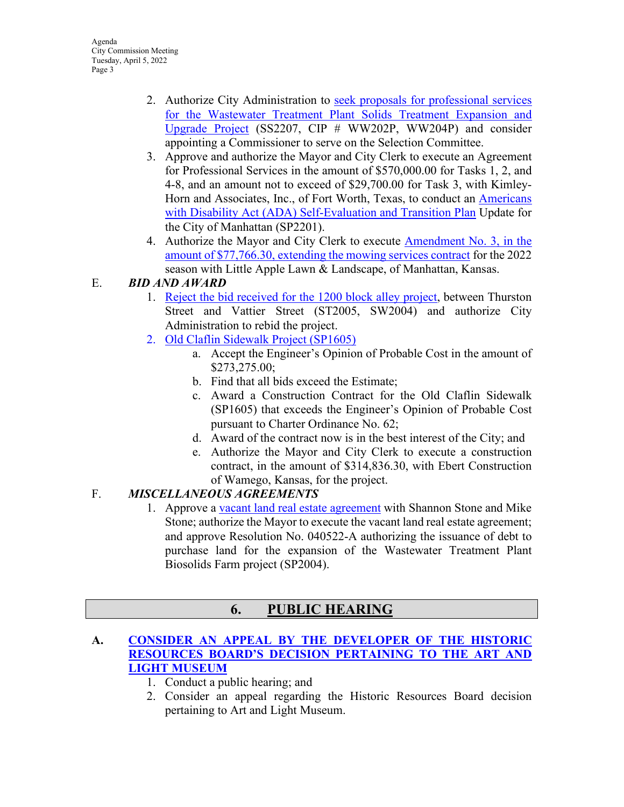- 2. Authorize City Administration to seek proposals [for professional services](https://manhattanks.sharepoint.com/:b:/s/CommissionPacket/EUtYD5qOEyxBuIlDUI1RGpABZoSLZRESSijhI-DpmZSD_Q?e=NdIz8g)  [for the Wastewater Treatment Plant Solids Treatment Expansion and](https://manhattanks.sharepoint.com/:b:/s/CommissionPacket/EUtYD5qOEyxBuIlDUI1RGpABZoSLZRESSijhI-DpmZSD_Q?e=NdIz8g)  [Upgrade Project](https://manhattanks.sharepoint.com/:b:/s/CommissionPacket/EUtYD5qOEyxBuIlDUI1RGpABZoSLZRESSijhI-DpmZSD_Q?e=NdIz8g) (SS2207, CIP # WW202P, WW204P) and consider appointing a Commissioner to serve on the Selection Committee.
- 3. Approve and authorize the Mayor and City Clerk to execute an Agreement for Professional Services in the amount of \$570,000.00 for Tasks 1, 2, and 4-8, and an amount not to exceed of \$29,700.00 for Task 3, with Kimley-Horn and Associates, Inc., of Fort Worth, Texas, to conduct an [Americans](https://manhattanks.sharepoint.com/:b:/s/CommissionPacket/EbRcx63mIQRGqW3YXRFbeN4B3QVWc-DYfPBaHZMGQVgzeg?e=dWth9p)  [with Disability Act \(ADA\) Self-Evaluation and Transition Plan](https://manhattanks.sharepoint.com/:b:/s/CommissionPacket/EbRcx63mIQRGqW3YXRFbeN4B3QVWc-DYfPBaHZMGQVgzeg?e=dWth9p) Update for the City of Manhattan (SP2201).
- 4. Authorize the Mayor and City Clerk to execute [Amendment No. 3, in the](https://manhattanks.sharepoint.com/:b:/s/CommissionPacket/EUTuuBpr5NhMhCDrhzNVhOQB9fFiA-Tw5uKd-yv0pUv37g?e=aUNN2W)  [amount of \\$77,766.30, extending the mowing services contract](https://manhattanks.sharepoint.com/:b:/s/CommissionPacket/EUTuuBpr5NhMhCDrhzNVhOQB9fFiA-Tw5uKd-yv0pUv37g?e=aUNN2W) for the 2022 season with Little Apple Lawn & Landscape, of Manhattan, Kansas.

## E. *BID AND AWARD*

- 1. Reject [the bid received for the 1200 block alley project,](https://manhattanks.sharepoint.com/:b:/s/CommissionPacket/EV3i2GULApdEvyk2WNplgBUBgFwZMazWfo_1nN6ySCaRSQ?e=DJsyWd) between Thurston Street and Vattier Street (ST2005, SW2004) and authorize City Administration to rebid the project.
- 2. [Old Claflin Sidewalk Project \(SP1605\)](https://manhattanks.sharepoint.com/:b:/s/CommissionPacket/EfkVEnqD6i5IkSwq7MNf5X8B6PuegXuY8FdGoAYMdYnBJg?e=vdA86g)
	- a. Accept the Engineer's Opinion of Probable Cost in the amount of \$273,275.00;
	- b. Find that all bids exceed the Estimate;
	- c. Award a Construction Contract for the Old Claflin Sidewalk (SP1605) that exceeds the Engineer's Opinion of Probable Cost pursuant to Charter Ordinance No. 62;
	- d. Award of the contract now is in the best interest of the City; and
	- e. Authorize the Mayor and City Clerk to execute a construction contract, in the amount of \$314,836.30, with Ebert Construction of Wamego, Kansas, for the project.

## F. *MISCELLANEOUS AGREEMENTS*

1. Approve a vacant [land real estate agreement](https://manhattanks.sharepoint.com/:b:/s/CommissionPacket/EZF3o9IJ1vJJqkSsUGvu_VYB5pw2ETbsrmfTkQEZWtxFXw?e=7fkC2V) with Shannon Stone and Mike Stone; authorize the Mayor to execute the vacant land real estate agreement; and approve Resolution No. 040522-A authorizing the issuance of debt to purchase land for the expansion of the Wastewater Treatment Plant Biosolids Farm project (SP2004).

# **6. PUBLIC HEARING**

### **A. CONSIDER AN APPEAL [BY THE DEVELOPER OF](https://manhattanks.sharepoint.com/:b:/s/CommissionPacket/EeIcB5r5DclGjNl0QKIj2d4BvAmwM4RuaNeNj7Xv2zyDAQ?e=Zz1n3q) THE HISTORIC [RESOURCES BOARD'S DECISION PERTAINING TO THE ART AND](https://manhattanks.sharepoint.com/:b:/s/CommissionPacket/EeIcB5r5DclGjNl0QKIj2d4BvAmwM4RuaNeNj7Xv2zyDAQ?e=Zz1n3q)  [LIGHT MUSEUM](https://manhattanks.sharepoint.com/:b:/s/CommissionPacket/EeIcB5r5DclGjNl0QKIj2d4BvAmwM4RuaNeNj7Xv2zyDAQ?e=Zz1n3q)**

- 1. Conduct a public hearing; and
- 2. Consider an appeal regarding the Historic Resources Board decision pertaining to Art and Light Museum.